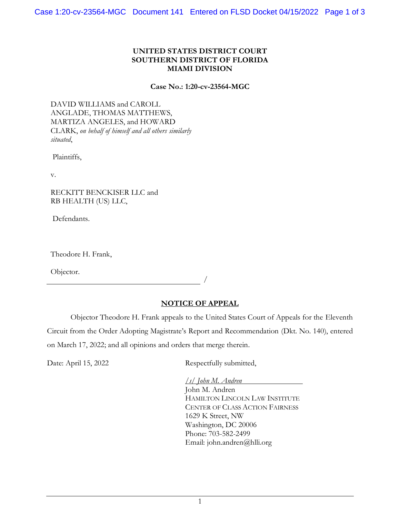## **UNITED STATES DISTRICT COURT SOUTHERN DISTRICT OF FLORIDA MIAMI DIVISION**

## **Case No.: 1:20-cv-23564-MGC**

DAVID WILLIAMS and CAROLL ANGLADE, THOMAS MATTHEWS, MARTIZA ANGELES, and HOWARD CLARK, *on behalf of himself and all others similarly situated*,

Plaintiffs,

v.

RECKITT BENCKISER LLC and RB HEALTH (US) LLC,

Defendants.

Theodore H. Frank,

Objector.

## **NOTICE OF APPEAL**

/

Objector Theodore H. Frank appeals to the United States Court of Appeals for the Eleventh Circuit from the Order Adopting Magistrate's Report and Recommendation (Dkt. No. 140), entered on March 17, 2022; and all opinions and orders that merge therein.

Date: April 15, 2022 Respectfully submitted,

*/s/ John M. Andren* John M. Andren HAMILTON LINCOLN LAW INSTITUTE CENTER OF CLASS ACTION FAIRNESS 1629 K Street, NW Washington, DC 20006 Phone: 703-582-2499 Email: john.andren@hlli.org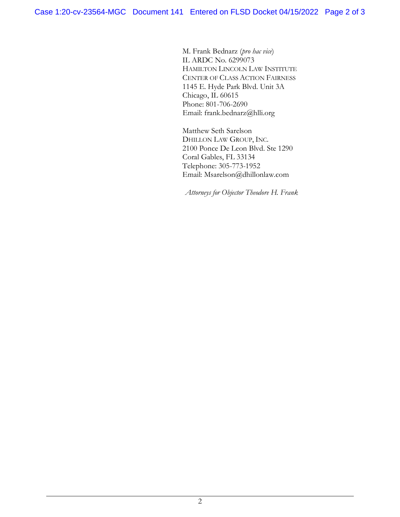M. Frank Bednarz (*pro hac vice*) IL ARDC No. 6299073 HAMILTON LINCOLN LAW INSTITUTE CENTER OF CLASS ACTION FAIRNESS 1145 E. Hyde Park Blvd. Unit 3A Chicago, IL 60615 Phone: 801-706-2690 Email: frank.bednarz@hlli.org

Matthew Seth Sarelson DHILLON LAW GROUP, INC. 2100 Ponce De Leon Blvd. Ste 1290 Coral Gables, FL 33134 Telephone: 305-773-1952 Email: Msarelson@dhillonlaw.com

*Attorneys for Objector Theodore H. Frank*